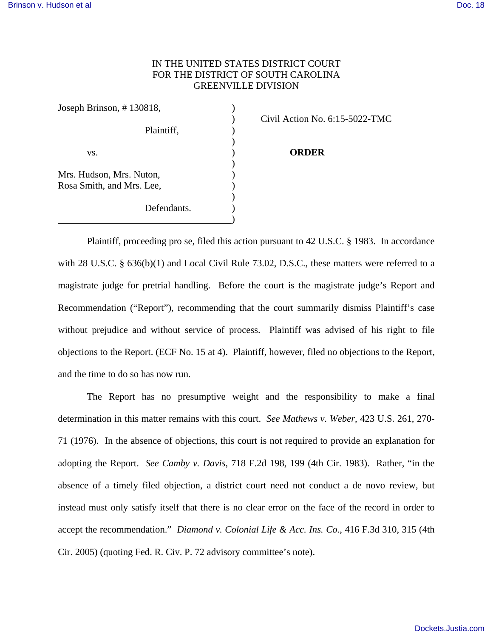## IN THE UNITED STATES DISTRICT COURT FOR THE DISTRICT OF SOUTH CAROLINA GREENVILLE DIVISION

| Joseph Brinson, #130818,  |  |
|---------------------------|--|
|                           |  |
| Plaintiff,                |  |
|                           |  |
| VS.                       |  |
| Mrs. Hudson, Mrs. Nuton,  |  |
| Rosa Smith, and Mrs. Lee, |  |
| Defendants.               |  |
|                           |  |

) Civil Action No. 6:15-5022-TMC

## **ORDER**

Plaintiff, proceeding pro se, filed this action pursuant to 42 U.S.C. § 1983. In accordance with 28 U.S.C. § 636(b)(1) and Local Civil Rule 73.02, D.S.C., these matters were referred to a magistrate judge for pretrial handling. Before the court is the magistrate judge's Report and Recommendation ("Report"), recommending that the court summarily dismiss Plaintiff's case without prejudice and without service of process. Plaintiff was advised of his right to file objections to the Report. (ECF No. 15 at 4). Plaintiff, however, filed no objections to the Report, and the time to do so has now run.

 The Report has no presumptive weight and the responsibility to make a final determination in this matter remains with this court. *See Mathews v. Weber*, 423 U.S. 261, 270- 71 (1976). In the absence of objections, this court is not required to provide an explanation for adopting the Report. *See Camby v. Davis*, 718 F.2d 198, 199 (4th Cir. 1983). Rather, "in the absence of a timely filed objection, a district court need not conduct a de novo review, but instead must only satisfy itself that there is no clear error on the face of the record in order to accept the recommendation." *Diamond v. Colonial Life & Acc. Ins. Co.*, 416 F.3d 310, 315 (4th Cir. 2005) (quoting Fed. R. Civ. P. 72 advisory committee's note).